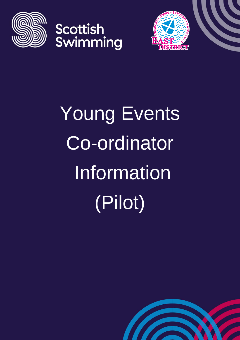







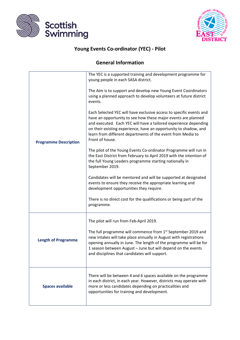



## **Young Events Co-ordinator (YEC) - Pilot**

## **General Information**

|                              | The YEC is a supported training and development programme for<br>young people in each SASA district.                                                                                                                                                                                                                                                                                                                                                                                                                                                                                 |  |
|------------------------------|--------------------------------------------------------------------------------------------------------------------------------------------------------------------------------------------------------------------------------------------------------------------------------------------------------------------------------------------------------------------------------------------------------------------------------------------------------------------------------------------------------------------------------------------------------------------------------------|--|
| <b>Programme Description</b> | The Aim is to support and develop new Young Event Coordinators<br>using a planned approach to develop volunteers at future district<br>events.<br>Each Selected YEC will have exclusive access to specific events and<br>have an opportunity to see how these major events are planned<br>and executed. Each YEC will have a tailored experience depending<br>on their existing experience, have an opportunity to shadow, and<br>learn from different departments of the event from Media to<br>Front of house.<br>The pilot of the Young Events Co-ordinator Programme will run in |  |
|                              | the East District from February to April 2019 with the intention of<br>the full Young Leaders programme starting nationally in<br>September 2019.<br>Candidates will be mentored and will be supported at designated                                                                                                                                                                                                                                                                                                                                                                 |  |
|                              | events to ensure they receive the appropriate learning and<br>development opportunities they require.                                                                                                                                                                                                                                                                                                                                                                                                                                                                                |  |
|                              | There is no direct cost for the qualifications or being part of the<br>programme.                                                                                                                                                                                                                                                                                                                                                                                                                                                                                                    |  |
| <b>Length of Programme</b>   | The pilot will run from Feb-April 2019.                                                                                                                                                                                                                                                                                                                                                                                                                                                                                                                                              |  |
|                              | The full programme will commence from 1 <sup>st</sup> September 2019 and<br>new intakes will take place annually in August with registrations<br>opening annually in June. The length of the programme will be for<br>1 season between August - June but will depend on the events<br>and disciplines that candidates will support.                                                                                                                                                                                                                                                  |  |
| <b>Spaces available</b>      | There will be between 4 and 6 spaces available on the programme<br>in each district, in each year. However, districts may operate with<br>more or less candidates depending on practicalities and<br>opportunities for training and development.                                                                                                                                                                                                                                                                                                                                     |  |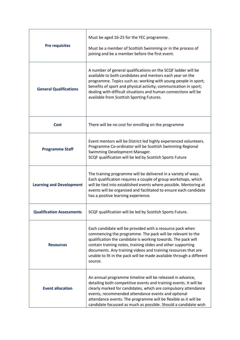| <b>Pre requisites</b>            | Must be aged 16-25 for the YEC programme.<br>Must be a member of Scottish Swimming or in the process of<br>joining and be a member before the first event.                                                                                                                                                                                                                                                    |  |
|----------------------------------|---------------------------------------------------------------------------------------------------------------------------------------------------------------------------------------------------------------------------------------------------------------------------------------------------------------------------------------------------------------------------------------------------------------|--|
| <b>General Qualifications</b>    | A number of general qualifications on the SCQF ladder will be<br>available to both candidates and mentors each year on the<br>programme. Topics such as: working with young people in sport;<br>benefits of sport and physical activity; communication in sport;<br>dealing with difficult situations and human connections will be<br>available from Scottish Sporting Futures.                              |  |
| <b>Cost</b>                      | There will be no cost for enrolling on the programme                                                                                                                                                                                                                                                                                                                                                          |  |
| <b>Programme Staff</b>           | Event mentors will be District led highly experienced volunteers.<br>Programme Co-ordinator will be Scottish Swimming Regional<br>Swimming Development Manager.<br>SCQF qualification will be led by Scottish Sports Future                                                                                                                                                                                   |  |
| <b>Learning and Development</b>  | The training programme will be delivered in a variety of ways.<br>Each qualification requires a couple of group workshops, which<br>will be tied into established events where possible. Mentoring at<br>events will be organised and facilitated to ensure each candidate<br>has a positive learning experience.                                                                                             |  |
| <b>Qualification Assessments</b> | SCQF qualification will be led by Scottish Sports Future.                                                                                                                                                                                                                                                                                                                                                     |  |
| <b>Resources</b>                 | Each candidate will be provided with a resource pack when<br>commencing the programme. The pack will be relevant to the<br>qualification the candidate is working towards. The pack will<br>contain training notes, training slides and other supporting<br>documents. Any training videos and training resources that are<br>unable to fit in the pack will be made available through a different<br>source. |  |
| <b>Event allocation</b>          | An annual programme timeline will be released in advance,<br>detailing both competitive events and training events. It will be<br>clearly marked for candidates, which are compulsory attendance<br>events, recommended attendance events and optional<br>attendance events. The programme will be flexible as it will be<br>candidate focussed as much as possible. Should a candidate wish                  |  |